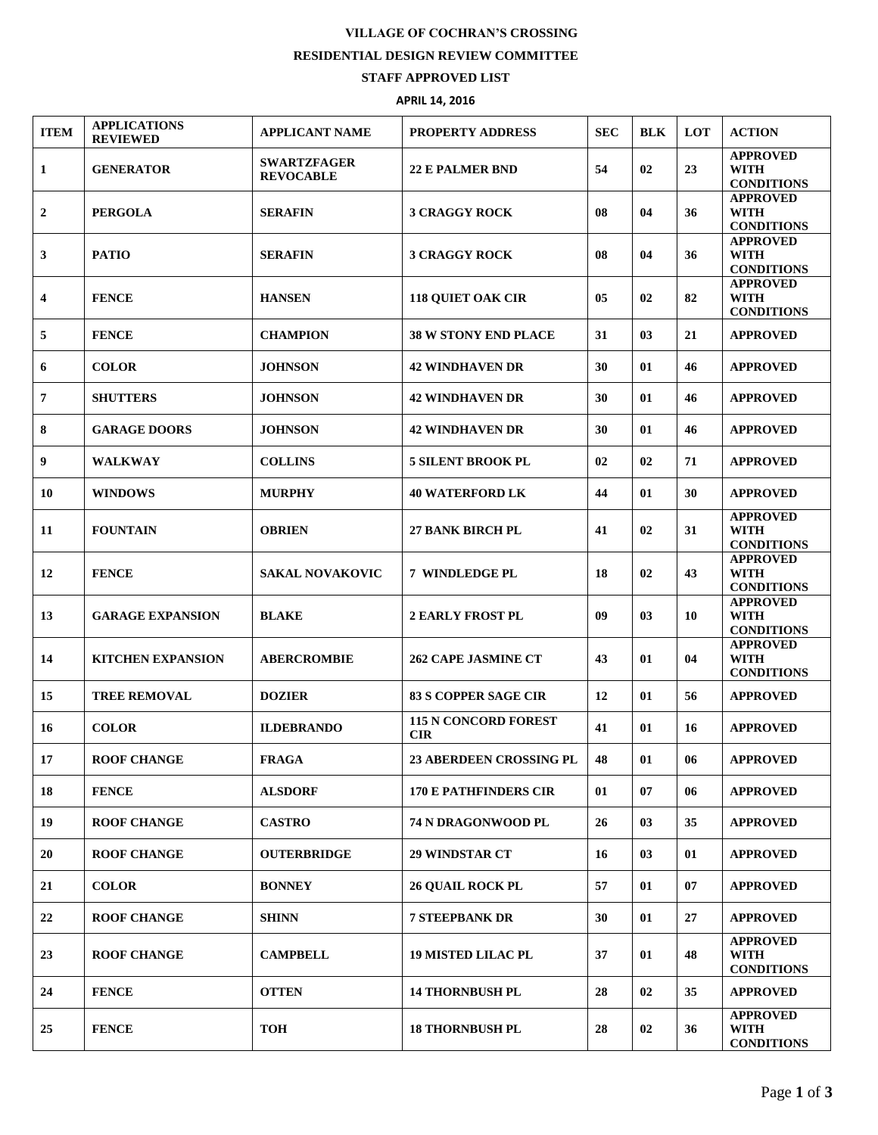## **VILLAGE OF COCHRAN'S CROSSING**

## **RESIDENTIAL DESIGN REVIEW COMMITTEE**

## **STAFF APPROVED LIST**

## **APRIL 14, 2016**

| <b>ITEM</b>             | <b>APPLICATIONS</b><br><b>REVIEWED</b> | <b>APPLICANT NAME</b>                  | <b>PROPERTY ADDRESS</b>                   | <b>SEC</b> | <b>BLK</b> | LOT | <b>ACTION</b>                                       |
|-------------------------|----------------------------------------|----------------------------------------|-------------------------------------------|------------|------------|-----|-----------------------------------------------------|
| 1                       | <b>GENERATOR</b>                       | <b>SWARTZFAGER</b><br><b>REVOCABLE</b> | <b>22 E PALMER BND</b>                    | 54         | 02         | 23  | <b>APPROVED</b><br><b>WITH</b><br><b>CONDITIONS</b> |
| $\mathbf{2}$            | <b>PERGOLA</b>                         | <b>SERAFIN</b>                         | <b>3 CRAGGY ROCK</b>                      | 08         | 04         | 36  | <b>APPROVED</b><br><b>WITH</b><br><b>CONDITIONS</b> |
| 3                       | <b>PATIO</b>                           | <b>SERAFIN</b>                         | <b>3 CRAGGY ROCK</b>                      | 08         | 04         | 36  | <b>APPROVED</b><br><b>WITH</b><br><b>CONDITIONS</b> |
| $\overline{\mathbf{4}}$ | <b>FENCE</b>                           | <b>HANSEN</b>                          | <b>118 OUIET OAK CIR</b>                  | 05         | 02         | 82  | <b>APPROVED</b><br><b>WITH</b><br><b>CONDITIONS</b> |
| 5                       | <b>FENCE</b>                           | <b>CHAMPION</b>                        | <b>38 W STONY END PLACE</b>               | 31         | 03         | 21  | <b>APPROVED</b>                                     |
| 6                       | <b>COLOR</b>                           | <b>JOHNSON</b>                         | <b>42 WINDHAVEN DR</b>                    | 30         | 01         | 46  | <b>APPROVED</b>                                     |
| 7                       | <b>SHUTTERS</b>                        | <b>JOHNSON</b>                         | <b>42 WINDHAVEN DR</b>                    | 30         | 01         | 46  | <b>APPROVED</b>                                     |
| 8                       | <b>GARAGE DOORS</b>                    | <b>JOHNSON</b>                         | <b>42 WINDHAVEN DR</b>                    | 30         | 01         | 46  | <b>APPROVED</b>                                     |
| 9                       | <b>WALKWAY</b>                         | <b>COLLINS</b>                         | <b>5 SILENT BROOK PL</b>                  | 02         | 02         | 71  | <b>APPROVED</b>                                     |
| 10                      | <b>WINDOWS</b>                         | <b>MURPHY</b>                          | <b>40 WATERFORD LK</b>                    | 44         | 01         | 30  | <b>APPROVED</b>                                     |
| 11                      | <b>FOUNTAIN</b>                        | <b>OBRIEN</b>                          | <b>27 BANK BIRCH PL</b>                   | 41         | 02         | 31  | <b>APPROVED</b><br><b>WITH</b><br><b>CONDITIONS</b> |
| 12                      | <b>FENCE</b>                           | <b>SAKAL NOVAKOVIC</b>                 | 7 WINDLEDGE PL                            | 18         | 02         | 43  | <b>APPROVED</b><br><b>WITH</b><br><b>CONDITIONS</b> |
| 13                      | <b>GARAGE EXPANSION</b>                | <b>BLAKE</b>                           | <b>2 EARLY FROST PL</b>                   | 09         | 03         | 10  | <b>APPROVED</b><br><b>WITH</b><br><b>CONDITIONS</b> |
| 14                      | <b>KITCHEN EXPANSION</b>               | <b>ABERCROMBIE</b>                     | <b>262 CAPE JASMINE CT</b>                | 43         | 01         | 04  | <b>APPROVED</b><br><b>WITH</b><br><b>CONDITIONS</b> |
| 15                      | <b>TREE REMOVAL</b>                    | <b>DOZIER</b>                          | <b>83 S COPPER SAGE CIR</b>               | 12         | 01         | 56  | <b>APPROVED</b>                                     |
| 16                      | <b>COLOR</b>                           | <b>ILDEBRANDO</b>                      | <b>115 N CONCORD FOREST</b><br><b>CIR</b> | 41         | 01         | 16  | <b>APPROVED</b>                                     |
| 17                      | <b>ROOF CHANGE</b>                     | <b>FRAGA</b>                           | <b>23 ABERDEEN CROSSING PL</b>            | 48         | 01         | 06  | <b>APPROVED</b>                                     |
| 18                      | <b>FENCE</b>                           | <b>ALSDORF</b>                         | <b>170 E PATHFINDERS CIR</b>              | 01         | 07         | 06  | <b>APPROVED</b>                                     |
| 19                      | <b>ROOF CHANGE</b>                     | <b>CASTRO</b>                          | 74 N DRAGONWOOD PL                        | 26         | 03         | 35  | <b>APPROVED</b>                                     |
| 20                      | <b>ROOF CHANGE</b>                     | <b>OUTERBRIDGE</b>                     | <b>29 WINDSTAR CT</b>                     | 16         | 03         | 01  | <b>APPROVED</b>                                     |
| 21                      | <b>COLOR</b>                           | <b>BONNEY</b>                          | <b>26 QUAIL ROCK PL</b>                   | 57         | 01         | 07  | <b>APPROVED</b>                                     |
| 22                      | <b>ROOF CHANGE</b>                     | <b>SHINN</b>                           | <b>7 STEEPBANK DR</b>                     | 30         | 01         | 27  | <b>APPROVED</b>                                     |
| 23                      | <b>ROOF CHANGE</b>                     | <b>CAMPBELL</b>                        | <b>19 MISTED LILAC PL</b>                 | 37         | 01         | 48  | <b>APPROVED</b><br><b>WITH</b><br><b>CONDITIONS</b> |
| 24                      | <b>FENCE</b>                           | <b>OTTEN</b>                           | <b>14 THORNBUSH PL</b>                    | 28         | 02         | 35  | <b>APPROVED</b>                                     |
| 25                      | <b>FENCE</b>                           | <b>TOH</b>                             | <b>18 THORNBUSH PL</b>                    | 28         | 02         | 36  | <b>APPROVED</b><br><b>WITH</b><br><b>CONDITIONS</b> |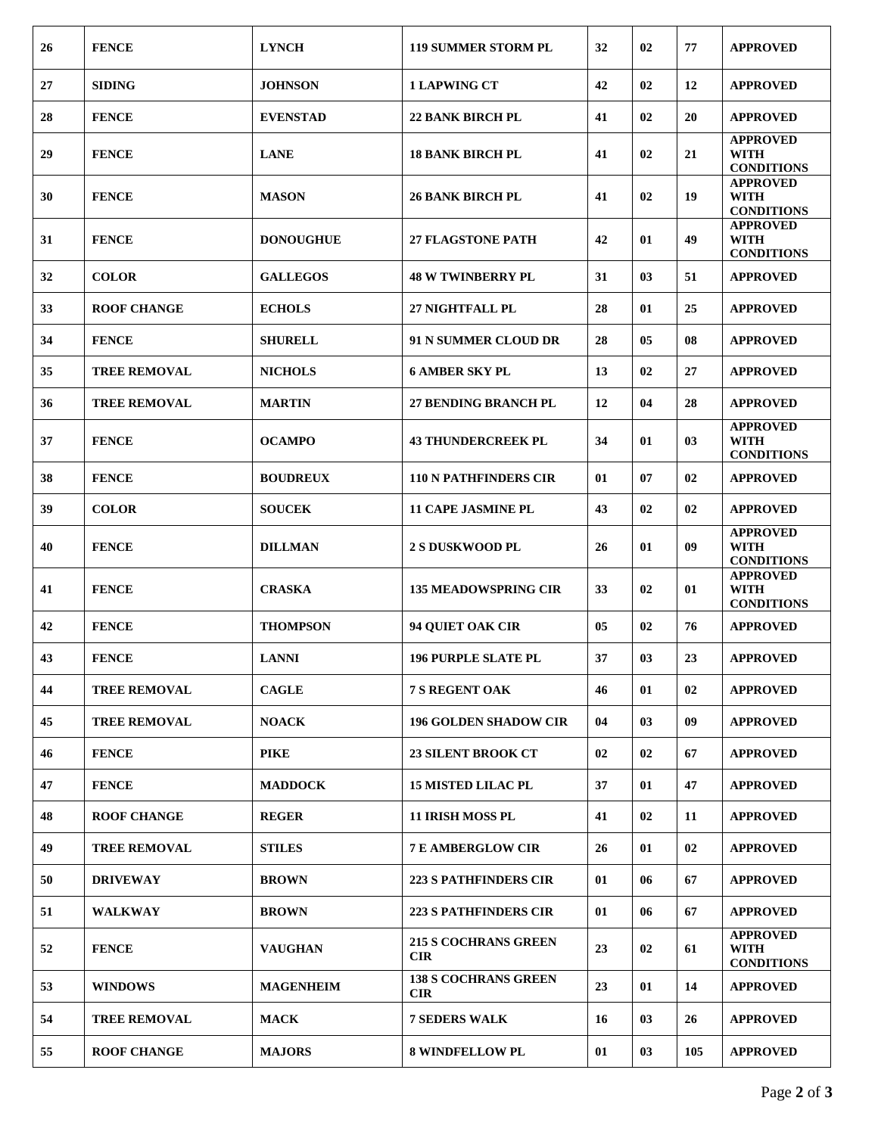| 26 | <b>FENCE</b>        | <b>LYNCH</b>     | <b>119 SUMMER STORM PL</b>                | 32 | 02 | 77  | <b>APPROVED</b>                                     |
|----|---------------------|------------------|-------------------------------------------|----|----|-----|-----------------------------------------------------|
| 27 | <b>SIDING</b>       | <b>JOHNSON</b>   | <b>1 LAPWING CT</b>                       | 42 | 02 | 12  | <b>APPROVED</b>                                     |
| 28 | <b>FENCE</b>        | <b>EVENSTAD</b>  | <b>22 BANK BIRCH PL</b>                   | 41 | 02 | 20  | <b>APPROVED</b>                                     |
| 29 | <b>FENCE</b>        | <b>LANE</b>      | <b>18 BANK BIRCH PL</b>                   | 41 | 02 | 21  | <b>APPROVED</b><br><b>WITH</b><br><b>CONDITIONS</b> |
| 30 | <b>FENCE</b>        | <b>MASON</b>     | <b>26 BANK BIRCH PL</b>                   | 41 | 02 | 19  | <b>APPROVED</b><br><b>WITH</b><br><b>CONDITIONS</b> |
| 31 | <b>FENCE</b>        | <b>DONOUGHUE</b> | <b>27 FLAGSTONE PATH</b>                  | 42 | 01 | 49  | <b>APPROVED</b><br><b>WITH</b><br><b>CONDITIONS</b> |
| 32 | <b>COLOR</b>        | <b>GALLEGOS</b>  | <b>48 W TWINBERRY PL</b>                  | 31 | 03 | 51  | <b>APPROVED</b>                                     |
| 33 | <b>ROOF CHANGE</b>  | <b>ECHOLS</b>    | 27 NIGHTFALL PL                           | 28 | 01 | 25  | <b>APPROVED</b>                                     |
| 34 | <b>FENCE</b>        | <b>SHURELL</b>   | <b>91 N SUMMER CLOUD DR</b>               | 28 | 05 | 08  | <b>APPROVED</b>                                     |
| 35 | <b>TREE REMOVAL</b> | <b>NICHOLS</b>   | <b>6 AMBER SKY PL</b>                     | 13 | 02 | 27  | <b>APPROVED</b>                                     |
| 36 | <b>TREE REMOVAL</b> | <b>MARTIN</b>    | <b>27 BENDING BRANCH PL</b>               | 12 | 04 | 28  | <b>APPROVED</b>                                     |
| 37 | <b>FENCE</b>        | <b>OCAMPO</b>    | <b>43 THUNDERCREEK PL</b>                 | 34 | 01 | 03  | <b>APPROVED</b><br><b>WITH</b><br><b>CONDITIONS</b> |
| 38 | <b>FENCE</b>        | <b>BOUDREUX</b>  | <b>110 N PATHFINDERS CIR</b>              | 01 | 07 | 02  | <b>APPROVED</b>                                     |
| 39 | <b>COLOR</b>        | <b>SOUCEK</b>    | <b>11 CAPE JASMINE PL</b>                 | 43 | 02 | 02  | <b>APPROVED</b>                                     |
| 40 | <b>FENCE</b>        | <b>DILLMAN</b>   | <b>2 S DUSKWOOD PL</b>                    | 26 | 01 | 09  | <b>APPROVED</b><br><b>WITH</b><br><b>CONDITIONS</b> |
| 41 | <b>FENCE</b>        | <b>CRASKA</b>    | <b>135 MEADOWSPRING CIR</b>               | 33 | 02 | 01  | <b>APPROVED</b><br><b>WITH</b><br><b>CONDITIONS</b> |
| 42 | <b>FENCE</b>        | <b>THOMPSON</b>  | <b>94 QUIET OAK CIR</b>                   | 05 | 02 | 76  | <b>APPROVED</b>                                     |
| 43 | <b>FENCE</b>        | <b>LANNI</b>     | <b>196 PURPLE SLATE PL</b>                | 37 | 03 | 23  | <b>APPROVED</b>                                     |
| 44 | <b>TREE REMOVAL</b> | <b>CAGLE</b>     | 7 S REGENT OAK                            | 46 | 01 | 02  | <b>APPROVED</b>                                     |
| 45 | <b>TREE REMOVAL</b> | <b>NOACK</b>     | <b>196 GOLDEN SHADOW CIR</b>              | 04 | 03 | 09  | <b>APPROVED</b>                                     |
| 46 | <b>FENCE</b>        | <b>PIKE</b>      | 23 SILENT BROOK CT                        | 02 | 02 | 67  | <b>APPROVED</b>                                     |
| 47 | <b>FENCE</b>        | <b>MADDOCK</b>   | <b>15 MISTED LILAC PL</b>                 | 37 | 01 | 47  | <b>APPROVED</b>                                     |
| 48 | <b>ROOF CHANGE</b>  | <b>REGER</b>     | 11 IRISH MOSS PL                          | 41 | 02 | 11  | <b>APPROVED</b>                                     |
| 49 | <b>TREE REMOVAL</b> | <b>STILES</b>    | <b>7 E AMBERGLOW CIR</b>                  | 26 | 01 | 02  | <b>APPROVED</b>                                     |
| 50 | <b>DRIVEWAY</b>     | <b>BROWN</b>     | <b>223 S PATHFINDERS CIR</b>              | 01 | 06 | 67  | <b>APPROVED</b>                                     |
| 51 | <b>WALKWAY</b>      | <b>BROWN</b>     | <b>223 S PATHFINDERS CIR</b>              | 01 | 06 | 67  | <b>APPROVED</b>                                     |
| 52 | <b>FENCE</b>        | <b>VAUGHAN</b>   | <b>215 S COCHRANS GREEN</b><br><b>CIR</b> | 23 | 02 | 61  | <b>APPROVED</b><br><b>WITH</b><br><b>CONDITIONS</b> |
| 53 | <b>WINDOWS</b>      | <b>MAGENHEIM</b> | <b>138 S COCHRANS GREEN</b><br><b>CIR</b> | 23 | 01 | 14  | <b>APPROVED</b>                                     |
| 54 | <b>TREE REMOVAL</b> | <b>MACK</b>      | <b>7 SEDERS WALK</b>                      | 16 | 03 | 26  | <b>APPROVED</b>                                     |
| 55 | <b>ROOF CHANGE</b>  | <b>MAJORS</b>    | <b>8 WINDFELLOW PL</b>                    | 01 | 03 | 105 | <b>APPROVED</b>                                     |